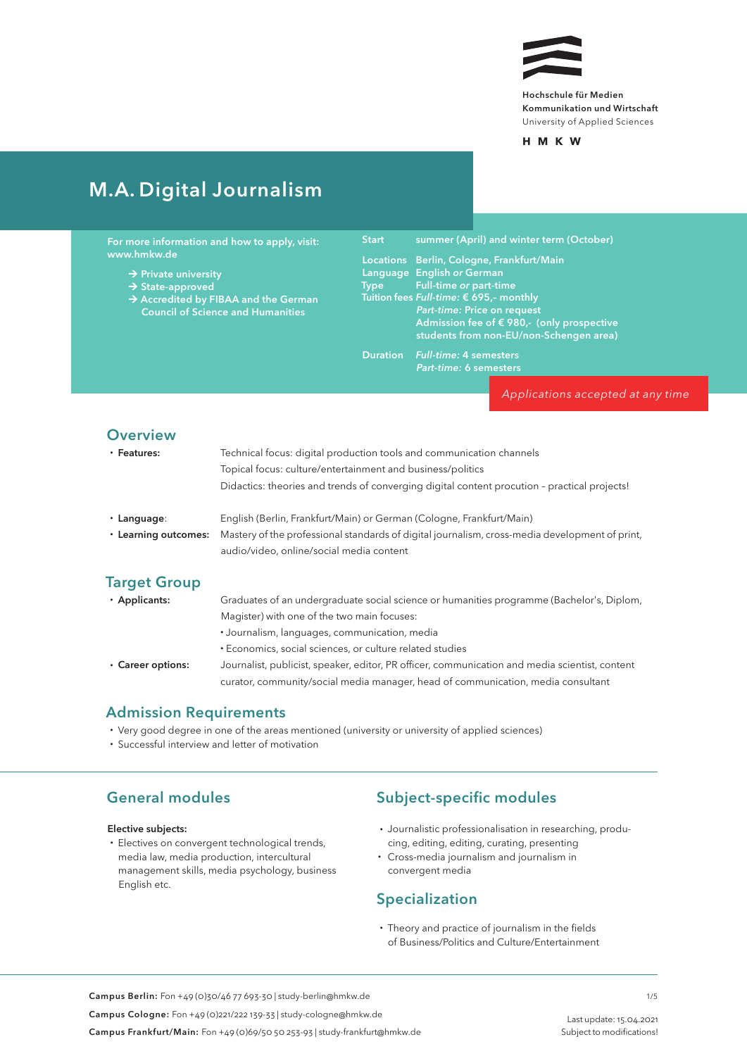

## M. A. Digital Journalism

| For more information and how to apply, visit: | <b>Start</b> |
|-----------------------------------------------|--------------|
| www.hmkw.de                                   | Locati       |
|                                               |              |

- $\rightarrow$  Private university
- State-approved
- Accredited by FIBAA and the German Council of Science and Humanities

summer (April) and winter term (October)

|      | Locations Berlin, Cologne, Frankfurt/Main           |
|------|-----------------------------------------------------|
|      | Language English or German                          |
| Type | <b>Example 1 Full-time or part-time</b>             |
|      | Tuition fees Full-time: € 695,- monthly             |
|      | Part-time: Price on request                         |
|      | Admission fee of $\epsilon$ 980,- (only prospective |
|      | students from non-EU/non-Schengen area)             |

Duration *Full-time:* 4 semesters *Part-time:* 6 semesters

*Applications accepted at any time*

#### **Overview**

| • Features: | Technical focus: digital production tools and communication channels                         |
|-------------|----------------------------------------------------------------------------------------------|
|             | Topical focus: culture/entertainment and business/politics                                   |
|             | Didactics: theories and trends of converging digital content procution - practical projects! |
| • Language: | English (Berlin, Frankfurt/Main) or German (Cologne, Frankfurt/Main)                         |

• Learning outcomes: Mastery of the professional standards of digital journalism, cross-media development of print, audio/video, online/social media content

### Target Group

• Applicants: Graduates of an undergraduate social science or humanities programme (Bachelor's, Diplom, Magister) with one of the two main focuses:

- Journalism, languages, communication, media
- Economics, social sciences, or culture related studies
- Career options: Journalist, publicist, speaker, editor, PR officer, communication and media scientist, content curator, community/social media manager, head of communication, media consultant

### Admission Requirements

- Very good degree in one of the areas mentioned (university or university of applied sciences)
- Successful interview and letter of motivation

### General modules

#### Elective subjects:

• Electives on convergent technological trends, media law, media production, intercultural management skills, media psychology, business English etc.

### Subject-specific modules

- Journalistic professionalisation in researching, producing, editing, editing, curating, presenting
- Cross-media journalism and journalism in convergent media

### Specialization

• Theory and practice of journalism in the fields of Business/Politics and Culture/Entertainment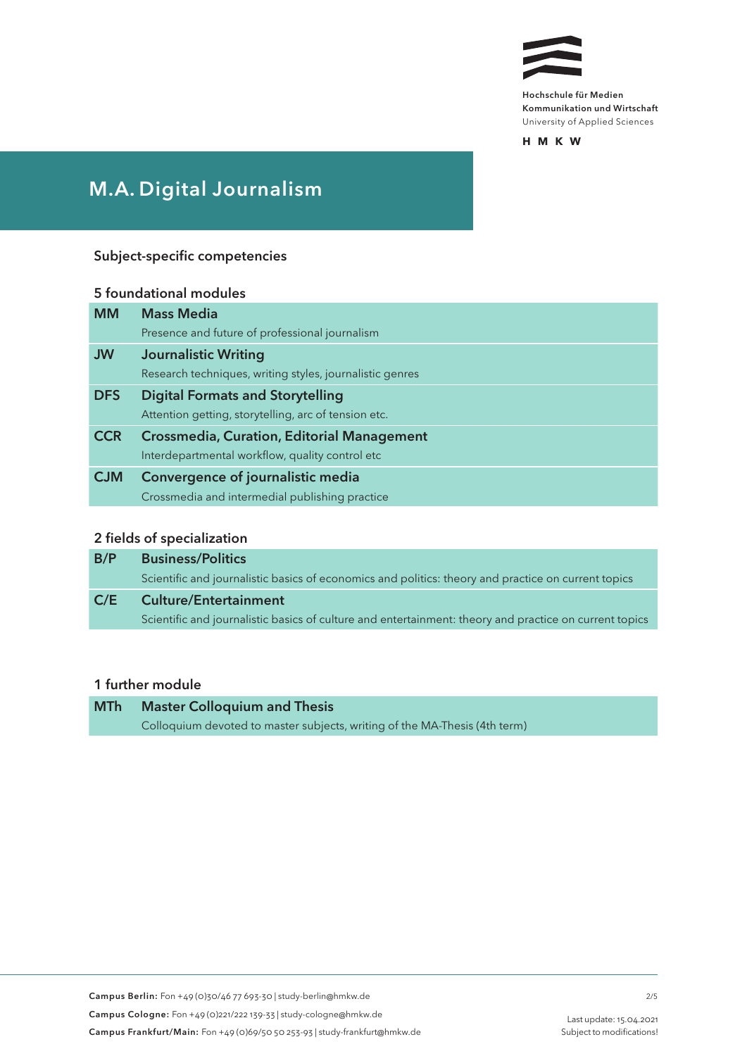

# M.A. Digital Journalism

#### Subject-specific competencies

## 5 foundational modules MM Mass Media Presence and future of professional journalism JW Journalistic Writing Research techniques, writing styles, journalistic genres DFS Digital Formats and Storytelling Attention getting, storytelling, arc of tension etc. CCR Crossmedia, Curation, Editorial Management Interdepartmental workflow, quality control etc CJM Convergence of journalistic media Crossmedia and intermedial publishing practice

#### 2 fields of specialization

| B/P | <b>Business/Politics</b>                                                                               |
|-----|--------------------------------------------------------------------------------------------------------|
|     | Scientific and journalistic basics of economics and politics: theory and practice on current topics    |
| C/E | <b>Culture/Entertainment</b>                                                                           |
|     | Scientific and journalistic basics of culture and entertainment: theory and practice on current topics |

### 1 further module

| <b>MTh</b> | <b>Master Colloquium and Thesis</b>                                        |
|------------|----------------------------------------------------------------------------|
|            | Colloquium devoted to master subjects, writing of the MA-Thesis (4th term) |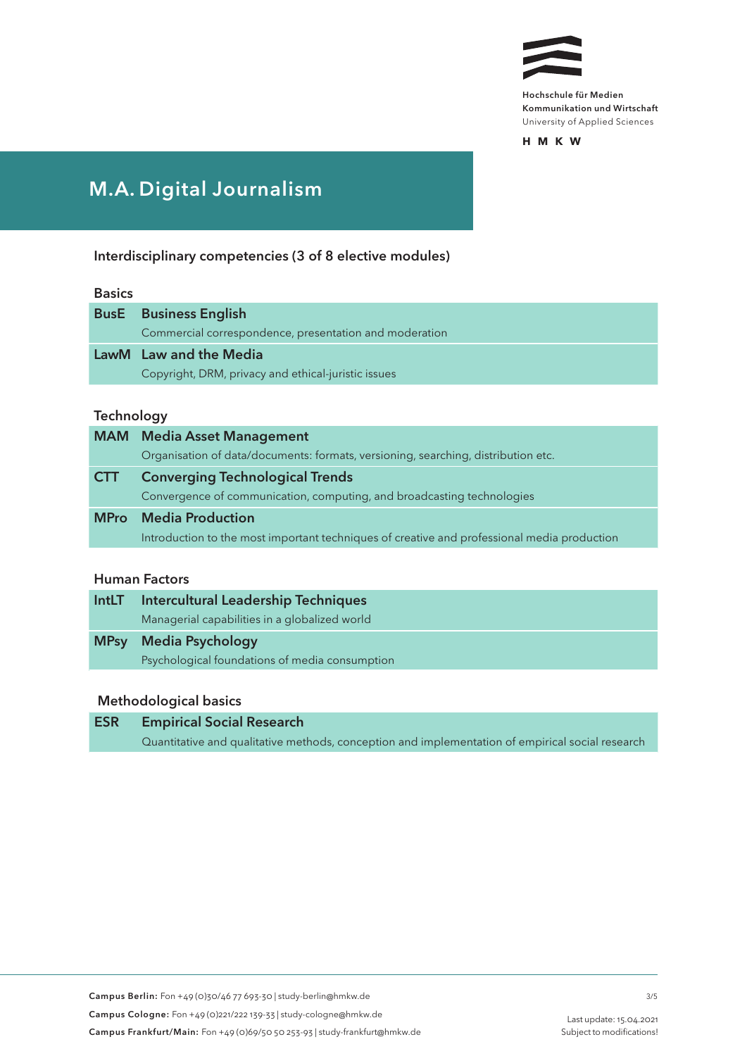

**HMK W**

# M. A. Digital Journalism

Interdisciplinary competencies (3 of 8 elective modules)

#### Basics

| <b>BusE</b> Business English                           |
|--------------------------------------------------------|
| Commercial correspondence, presentation and moderation |
| LawM Law and the Media                                 |
| Copyright, DRM, privacy and ethical-juristic issues    |

#### **Technology**

|             | <b>MAM</b> Media Asset Management                                                           |
|-------------|---------------------------------------------------------------------------------------------|
|             | Organisation of data/documents: formats, versioning, searching, distribution etc.           |
| <b>CTT</b>  | <b>Converging Technological Trends</b>                                                      |
|             | Convergence of communication, computing, and broadcasting technologies                      |
| <b>MPro</b> | <b>Media Production</b>                                                                     |
|             | Introduction to the most important techniques of creative and professional media production |

### Human Factors

| <b>IntLT</b> | Intercultural Leadership Techniques            |
|--------------|------------------------------------------------|
|              | Managerial capabilities in a globalized world  |
| <b>MPsy</b>  | <b>Media Psychology</b>                        |
|              | Psychological foundations of media consumption |

#### Methodological basics

### ESR Empirical Social Research Quantitative and qualitative methods, conception and implementation of empirical social research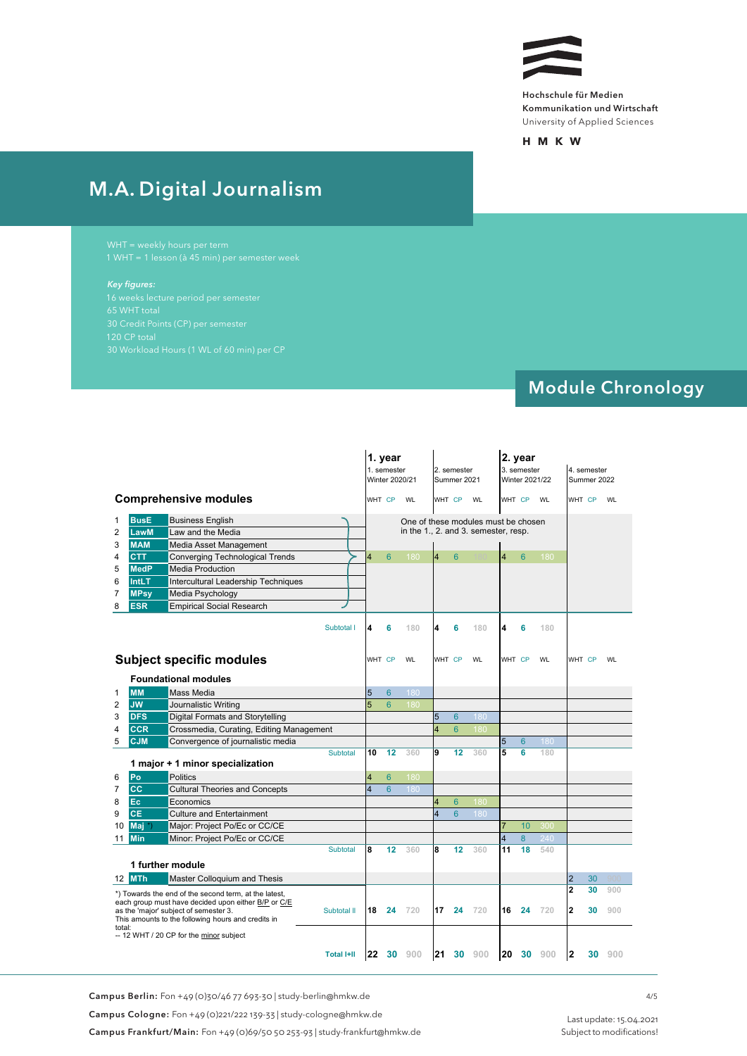

**HMK W**

# M. A. Digital Journalism

#### *Key figures:*

## Module Chronology

 $\sim$  ML-hours of 60 min.) per CP last update: 01.07.2020 per CP last update: 01.07.2020 per CP last update: 01.07.2020

|                                              |                                          |                                                                                                                                                                                                             |                   |                         | 1. year<br>1. semester<br>Winter 2020/21 |                                                                             |                 | 2. semester<br>Summer 2021 |           |                | 2. year<br>3. semester<br>Winter 2021/22 |           |                         | 4. semester<br>Summer 2022 |     |
|----------------------------------------------|------------------------------------------|-------------------------------------------------------------------------------------------------------------------------------------------------------------------------------------------------------------|-------------------|-------------------------|------------------------------------------|-----------------------------------------------------------------------------|-----------------|----------------------------|-----------|----------------|------------------------------------------|-----------|-------------------------|----------------------------|-----|
|                                              |                                          | <b>Comprehensive modules</b>                                                                                                                                                                                |                   |                         | WHT CP WL                                |                                                                             |                 | WHT CP WL                  |           |                | WHT CP                                   | WL        |                         | WHT CP WL                  |     |
| $\mathbf{1}$<br>$\overline{\mathbf{c}}$<br>3 | <b>BusE</b><br><b>LawM</b><br><b>MAM</b> | <b>Business English</b><br>Law and the Media<br>Media Asset Management                                                                                                                                      |                   |                         |                                          | One of these modules must be chosen<br>in the 1., 2. and 3. semester, resp. |                 |                            |           |                |                                          |           |                         |                            |     |
| 4                                            | <b>CTT</b>                               | <b>Converging Technological Trends</b>                                                                                                                                                                      |                   |                         | 6                                        | 180                                                                         | 14              | 6                          |           | $\overline{4}$ | $6\phantom{1}6$                          | 180       |                         |                            |     |
| 5                                            | <b>MedP</b>                              | <b>Media Production</b>                                                                                                                                                                                     |                   |                         |                                          |                                                                             |                 |                            |           |                |                                          |           |                         |                            |     |
| 6                                            | IntLT                                    | Intercultural Leadership Techniques                                                                                                                                                                         |                   |                         |                                          |                                                                             |                 |                            |           |                |                                          |           |                         |                            |     |
| 7                                            | <b>MPsy</b>                              | Media Psychology                                                                                                                                                                                            |                   |                         |                                          |                                                                             |                 |                            |           |                |                                          |           |                         |                            |     |
| 8                                            | <b>ESR</b>                               | <b>Empirical Social Research</b>                                                                                                                                                                            |                   |                         |                                          |                                                                             |                 |                            |           |                |                                          |           |                         |                            |     |
|                                              |                                          | <b>Subject specific modules</b>                                                                                                                                                                             | Subtotal I        |                         | 6<br>WHT CP                              | 180<br>WL                                                                   | 4               | 6<br>WHT CP                | 180<br>WL | 4              | 6<br>WHT CP                              | 180<br>WL |                         | WHT CP                     | WL  |
|                                              |                                          | <b>Foundational modules</b>                                                                                                                                                                                 |                   |                         |                                          |                                                                             |                 |                            |           |                |                                          |           |                         |                            |     |
| $\mathbf{1}$                                 | <b>MM</b>                                | <b>Mass Media</b>                                                                                                                                                                                           |                   | 5                       | $6\phantom{1}6$                          | 180                                                                         |                 |                            |           |                |                                          |           |                         |                            |     |
| $\overline{2}$                               | <b>JW</b>                                | Journalistic Writing                                                                                                                                                                                        |                   | 5                       | $6\phantom{1}6$                          | 180                                                                         |                 |                            |           |                |                                          |           |                         |                            |     |
| 3                                            | <b>DFS</b>                               | Digital Formats and Storytelling                                                                                                                                                                            |                   |                         |                                          |                                                                             | $5\overline{5}$ | $6\phantom{1}6$            | 180       |                |                                          |           |                         |                            |     |
| 4                                            | <b>CCR</b>                               | Crossmedia, Curating, Editing Management                                                                                                                                                                    |                   |                         |                                          |                                                                             | 4               | $6\phantom{1}$             | 180       |                |                                          |           |                         |                            |     |
| 5                                            | <b>CJM</b>                               | Convergence of journalistic media                                                                                                                                                                           |                   |                         |                                          |                                                                             |                 |                            |           | 5              | $6^{\circ}$                              | 180       |                         |                            |     |
|                                              |                                          | 1 major + 1 minor specialization                                                                                                                                                                            | Subtotal          | 10                      | 12                                       | 360                                                                         | 9               | 12                         | 360       | 5              | 6                                        | 180       |                         |                            |     |
| 6                                            | Po                                       | <b>Politics</b>                                                                                                                                                                                             |                   | $\overline{4}$          | 6                                        | 180                                                                         |                 |                            |           |                |                                          |           |                         |                            |     |
| 7                                            | <b>CC</b>                                | <b>Cultural Theories and Concepts</b>                                                                                                                                                                       |                   | $\overline{\mathbf{4}}$ | $6\phantom{1}$                           | 180                                                                         |                 |                            |           |                |                                          |           |                         |                            |     |
| 8                                            | Ec                                       | Economics                                                                                                                                                                                                   |                   |                         |                                          |                                                                             |                 | $6\phantom{1}6$            | 180       |                |                                          |           |                         |                            |     |
| 9                                            | <b>CE</b>                                | <b>Culture and Entertainment</b>                                                                                                                                                                            |                   |                         |                                          |                                                                             |                 | $6\phantom{1}$             | 180       |                |                                          |           |                         |                            |     |
| 10                                           | Maj                                      | Major: Project Po/Ec or CC/CE                                                                                                                                                                               |                   |                         |                                          |                                                                             |                 |                            |           |                | 10                                       | 300       |                         |                            |     |
|                                              | <b>11 Min</b>                            | Minor: Project Po/Ec or CC/CE                                                                                                                                                                               |                   |                         |                                          |                                                                             |                 |                            |           | 4              | 8                                        | 240       |                         |                            |     |
|                                              |                                          |                                                                                                                                                                                                             | Subtotal          | 8                       | 12                                       | 360                                                                         | 8               | 12                         | 360       | 11             | 18                                       | 540       |                         |                            |     |
|                                              |                                          | 1 further module                                                                                                                                                                                            |                   |                         |                                          |                                                                             |                 |                            |           |                |                                          |           |                         |                            |     |
|                                              | <b>12 MTh</b>                            | Master Colloquium and Thesis                                                                                                                                                                                |                   |                         |                                          |                                                                             |                 |                            |           |                |                                          |           | $\overline{2}$          | 30                         |     |
|                                              |                                          |                                                                                                                                                                                                             |                   |                         |                                          |                                                                             |                 |                            |           |                |                                          |           | $\overline{\mathbf{2}}$ | 30                         | 900 |
| total:                                       |                                          | *) Towards the end of the second term, at the latest,<br>each group must have decided upon either B/P or C/E<br>as the 'major' subject of semester 3.<br>This amounts to the following hours and credits in | Subtotal II       |                         | 18 24                                    | 720                                                                         |                 |                            | 17 24 720 |                | 16 24                                    | 720       | $\mathbf{2}$            | 30                         | 900 |
|                                              |                                          | -- 12 WHT / 20 CP for the minor subject                                                                                                                                                                     |                   |                         |                                          |                                                                             |                 |                            |           |                |                                          |           |                         |                            |     |
|                                              |                                          |                                                                                                                                                                                                             | <b>Total I+II</b> |                         |                                          | 22 30 900                                                                   |                 |                            | 21 30 900 |                |                                          | 20 30 900 | $\mathbf{2}$            | 30                         | 900 |

Campus Berlin: Fon +49 (0)30/46 77 693-30 | study-berlin@hmkw.de

Campus Cologne: Fon +49 (0)221/222 139-33 | study-cologne@hmkw.de

Campus Frankfurt/Main: Fon +49 (0)69/50 50 253-93 | study-frankfurt@hmkw.de